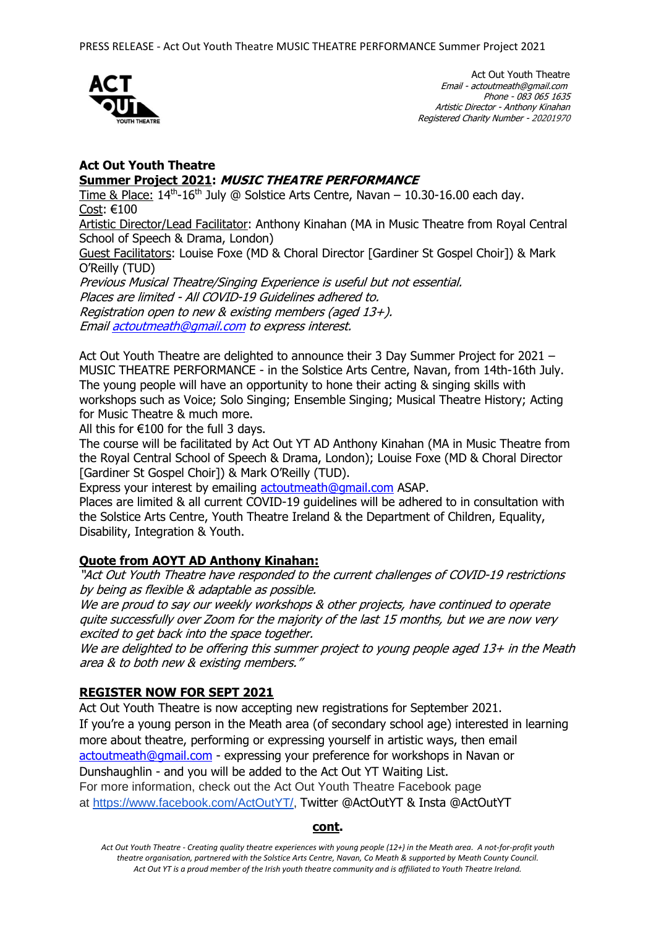

Act Out Youth Theatre Email - actoutmeath@gmail.com Phone - 083 065 1635 Artistic Director - Anthony Kinahan Registered Charity Number - 20201970

## **Act Out Youth Theatre Summer Project 2021: MUSIC THEATRE PERFORMANCE**

Time & Place:  $14<sup>th</sup>$ -16<sup>th</sup> July @ Solstice Arts Centre, Navan – 10.30-16.00 each day. Cost: €100

Artistic Director/Lead Facilitator: Anthony Kinahan (MA in Music Theatre from Royal Central School of Speech & Drama, London)

Guest Facilitators: Louise Foxe (MD & Choral Director [Gardiner St Gospel Choir]) & Mark O'Reilly (TUD)

Previous Musical Theatre/Singing Experience is useful but not essential. Places are limited - All COVID-19 Guidelines adhered to. Registration open to new & existing members (aged 13+). Emai[l actoutmeath@gmail.com](mailto:actoutmeath@gmail.com) to express interest.

Act Out Youth Theatre are delighted to announce their 3 Day Summer Project for 2021 – MUSIC THEATRE PERFORMANCE - in the Solstice Arts Centre, Navan, from 14th-16th July. The young people will have an opportunity to hone their acting & singing skills with workshops such as Voice; Solo Singing; Ensemble Singing; Musical Theatre History; Acting for Music Theatre & much more.

All this for  $€100$  for the full 3 days.

The course will be facilitated by Act Out YT AD Anthony Kinahan (MA in Music Theatre from the Royal Central School of Speech & Drama, London); Louise Foxe (MD & Choral Director [Gardiner St Gospel Choir]) & Mark O'Reilly (TUD).

Express your interest by emailing [actoutmeath@gmail.com](mailto:actoutmeath@gmail.com) ASAP.

Places are limited & all current COVID-19 guidelines will be adhered to in consultation with the Solstice Arts Centre, Youth Theatre Ireland & the Department of Children, Equality, Disability, Integration & Youth.

# **Quote from AOYT AD Anthony Kinahan:**

"Act Out Youth Theatre have responded to the current challenges of COVID-19 restrictions by being as flexible & adaptable as possible.

We are proud to say our weekly workshops & other projects, have continued to operate quite successfully over Zoom for the majority of the last 15 months, but we are now very excited to get back into the space together.

We are delighted to be offering this summer project to young people aged 13+ in the Meath area & to both new & existing members."

## **REGISTER NOW FOR SEPT 2021**

Act Out Youth Theatre is now accepting new registrations for September 2021. If you're a young person in the Meath area (of secondary school age) interested in learning more about theatre, performing or expressing yourself in artistic ways, then email [actoutmeath@gmail.com](mailto:actoutmeath@gmail.com) - expressing your preference for workshops in Navan or Dunshaughlin - and you will be added to the Act Out YT Waiting List. For more information, check out the Act Out Youth Theatre Facebook page at [https://www.facebook.com/ActOutYT/,](https://www.facebook.com/ActOutYT/) Twitter @ActOutYT & Insta @ActOutYT

#### **cont.**

*Act Out Youth Theatre - Creating quality theatre experiences with young people (12+) in the Meath area. A not-for-profit youth theatre organisation, partnered with the Solstice Arts Centre, Navan, Co Meath & supported by Meath County Council. Act Out YT is a proud member of the Irish youth theatre community and is affiliated to Youth Theatre Ireland.*